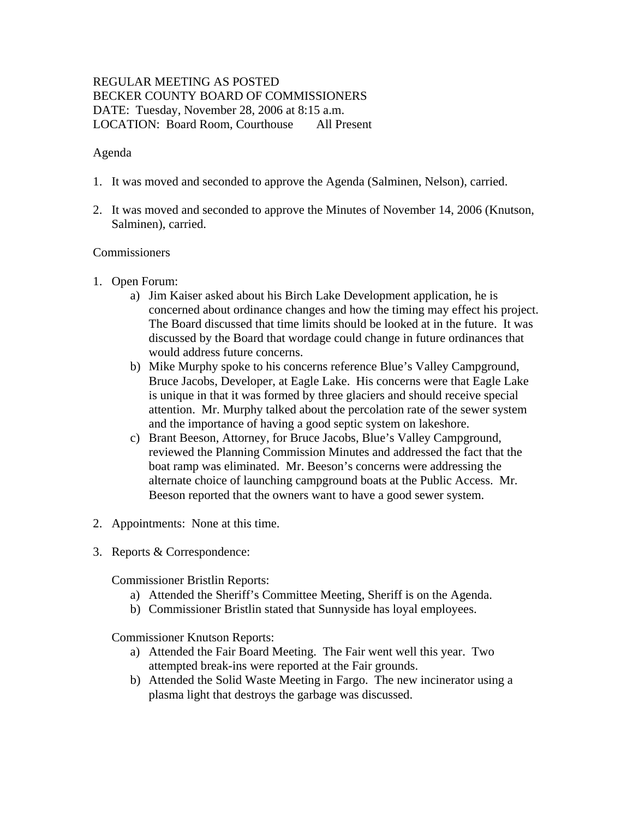# REGULAR MEETING AS POSTED BECKER COUNTY BOARD OF COMMISSIONERS DATE: Tuesday, November 28, 2006 at 8:15 a.m. LOCATION: Board Room, Courthouse All Present

# Agenda

- 1. It was moved and seconded to approve the Agenda (Salminen, Nelson), carried.
- 2. It was moved and seconded to approve the Minutes of November 14, 2006 (Knutson, Salminen), carried.

## Commissioners

- 1. Open Forum:
	- a) Jim Kaiser asked about his Birch Lake Development application, he is concerned about ordinance changes and how the timing may effect his project. The Board discussed that time limits should be looked at in the future. It was discussed by the Board that wordage could change in future ordinances that would address future concerns.
	- b) Mike Murphy spoke to his concerns reference Blue's Valley Campground, Bruce Jacobs, Developer, at Eagle Lake. His concerns were that Eagle Lake is unique in that it was formed by three glaciers and should receive special attention. Mr. Murphy talked about the percolation rate of the sewer system and the importance of having a good septic system on lakeshore.
	- c) Brant Beeson, Attorney, for Bruce Jacobs, Blue's Valley Campground, reviewed the Planning Commission Minutes and addressed the fact that the boat ramp was eliminated. Mr. Beeson's concerns were addressing the alternate choice of launching campground boats at the Public Access. Mr. Beeson reported that the owners want to have a good sewer system.
- 2. Appointments: None at this time.
- 3. Reports & Correspondence:

Commissioner Bristlin Reports:

- a) Attended the Sheriff's Committee Meeting, Sheriff is on the Agenda.
- b) Commissioner Bristlin stated that Sunnyside has loyal employees.

Commissioner Knutson Reports:

- a) Attended the Fair Board Meeting. The Fair went well this year. Two attempted break-ins were reported at the Fair grounds.
- b) Attended the Solid Waste Meeting in Fargo. The new incinerator using a plasma light that destroys the garbage was discussed.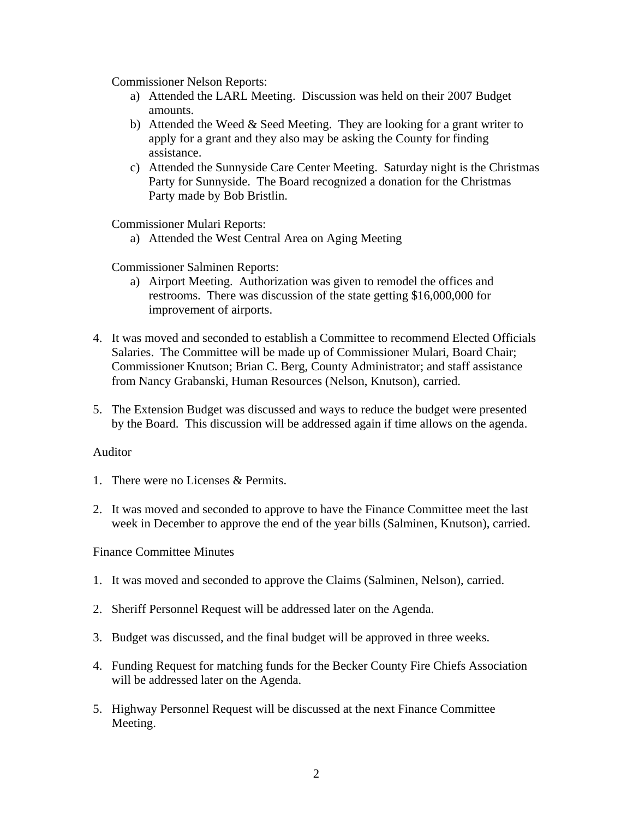Commissioner Nelson Reports:

- a) Attended the LARL Meeting. Discussion was held on their 2007 Budget amounts.
- b) Attended the Weed  $&$  Seed Meeting. They are looking for a grant writer to apply for a grant and they also may be asking the County for finding assistance.
- c) Attended the Sunnyside Care Center Meeting. Saturday night is the Christmas Party for Sunnyside. The Board recognized a donation for the Christmas Party made by Bob Bristlin.

Commissioner Mulari Reports:

a) Attended the West Central Area on Aging Meeting

Commissioner Salminen Reports:

- a) Airport Meeting. Authorization was given to remodel the offices and restrooms. There was discussion of the state getting \$16,000,000 for improvement of airports.
- 4. It was moved and seconded to establish a Committee to recommend Elected Officials Salaries. The Committee will be made up of Commissioner Mulari, Board Chair; Commissioner Knutson; Brian C. Berg, County Administrator; and staff assistance from Nancy Grabanski, Human Resources (Nelson, Knutson), carried.
- 5. The Extension Budget was discussed and ways to reduce the budget were presented by the Board. This discussion will be addressed again if time allows on the agenda.

#### Auditor

- 1. There were no Licenses & Permits.
- 2. It was moved and seconded to approve to have the Finance Committee meet the last week in December to approve the end of the year bills (Salminen, Knutson), carried.

#### Finance Committee Minutes

- 1. It was moved and seconded to approve the Claims (Salminen, Nelson), carried.
- 2. Sheriff Personnel Request will be addressed later on the Agenda.
- 3. Budget was discussed, and the final budget will be approved in three weeks.
- 4. Funding Request for matching funds for the Becker County Fire Chiefs Association will be addressed later on the Agenda.
- 5. Highway Personnel Request will be discussed at the next Finance Committee Meeting.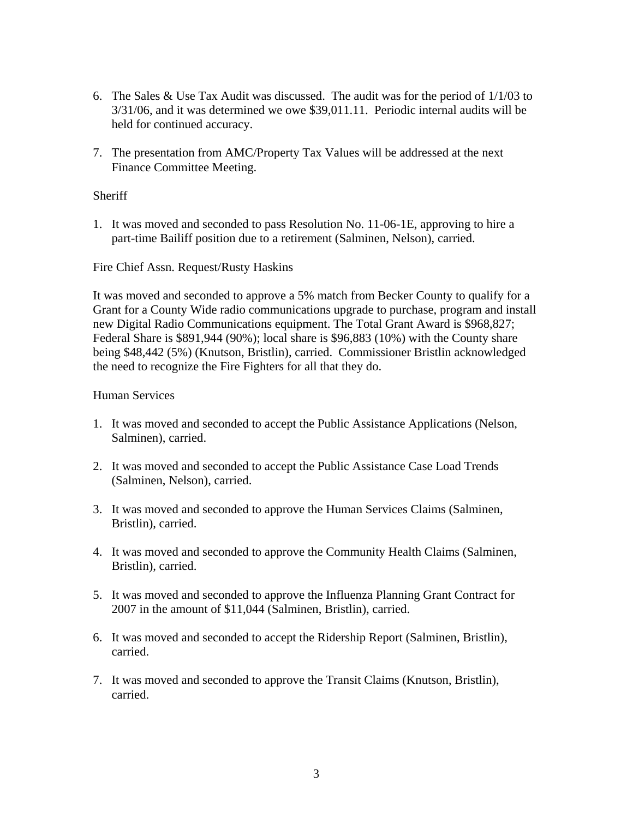- 6. The Sales & Use Tax Audit was discussed. The audit was for the period of 1/1/03 to 3/31/06, and it was determined we owe \$39,011.11. Periodic internal audits will be held for continued accuracy.
- 7. The presentation from AMC/Property Tax Values will be addressed at the next Finance Committee Meeting.

# **Sheriff**

1. It was moved and seconded to pass Resolution No. 11-06-1E, approving to hire a part-time Bailiff position due to a retirement (Salminen, Nelson), carried.

## Fire Chief Assn. Request/Rusty Haskins

It was moved and seconded to approve a 5% match from Becker County to qualify for a Grant for a County Wide radio communications upgrade to purchase, program and install new Digital Radio Communications equipment. The Total Grant Award is \$968,827; Federal Share is \$891,944 (90%); local share is \$96,883 (10%) with the County share being \$48,442 (5%) (Knutson, Bristlin), carried. Commissioner Bristlin acknowledged the need to recognize the Fire Fighters for all that they do.

## Human Services

- 1. It was moved and seconded to accept the Public Assistance Applications (Nelson, Salminen), carried.
- 2. It was moved and seconded to accept the Public Assistance Case Load Trends (Salminen, Nelson), carried.
- 3. It was moved and seconded to approve the Human Services Claims (Salminen, Bristlin), carried.
- 4. It was moved and seconded to approve the Community Health Claims (Salminen, Bristlin), carried.
- 5. It was moved and seconded to approve the Influenza Planning Grant Contract for 2007 in the amount of \$11,044 (Salminen, Bristlin), carried.
- 6. It was moved and seconded to accept the Ridership Report (Salminen, Bristlin), carried.
- 7. It was moved and seconded to approve the Transit Claims (Knutson, Bristlin), carried.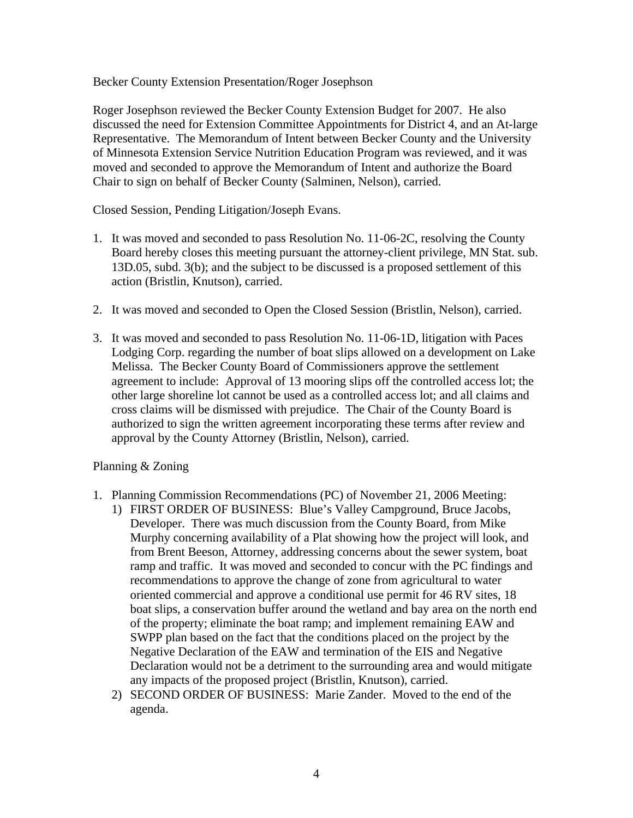Becker County Extension Presentation/Roger Josephson

Roger Josephson reviewed the Becker County Extension Budget for 2007. He also discussed the need for Extension Committee Appointments for District 4, and an At-large Representative. The Memorandum of Intent between Becker County and the University of Minnesota Extension Service Nutrition Education Program was reviewed, and it was moved and seconded to approve the Memorandum of Intent and authorize the Board Chair to sign on behalf of Becker County (Salminen, Nelson), carried.

Closed Session, Pending Litigation/Joseph Evans.

- 1. It was moved and seconded to pass Resolution No. 11-06-2C, resolving the County Board hereby closes this meeting pursuant the attorney-client privilege, MN Stat. sub. 13D.05, subd. 3(b); and the subject to be discussed is a proposed settlement of this action (Bristlin, Knutson), carried.
- 2. It was moved and seconded to Open the Closed Session (Bristlin, Nelson), carried.
- 3. It was moved and seconded to pass Resolution No. 11-06-1D, litigation with Paces Lodging Corp. regarding the number of boat slips allowed on a development on Lake Melissa. The Becker County Board of Commissioners approve the settlement agreement to include: Approval of 13 mooring slips off the controlled access lot; the other large shoreline lot cannot be used as a controlled access lot; and all claims and cross claims will be dismissed with prejudice. The Chair of the County Board is authorized to sign the written agreement incorporating these terms after review and approval by the County Attorney (Bristlin, Nelson), carried.

## Planning & Zoning

- 1. Planning Commission Recommendations (PC) of November 21, 2006 Meeting:
	- 1) FIRST ORDER OF BUSINESS: Blue's Valley Campground, Bruce Jacobs, Developer. There was much discussion from the County Board, from Mike Murphy concerning availability of a Plat showing how the project will look, and from Brent Beeson, Attorney, addressing concerns about the sewer system, boat ramp and traffic. It was moved and seconded to concur with the PC findings and recommendations to approve the change of zone from agricultural to water oriented commercial and approve a conditional use permit for 46 RV sites, 18 boat slips, a conservation buffer around the wetland and bay area on the north end of the property; eliminate the boat ramp; and implement remaining EAW and SWPP plan based on the fact that the conditions placed on the project by the Negative Declaration of the EAW and termination of the EIS and Negative Declaration would not be a detriment to the surrounding area and would mitigate any impacts of the proposed project (Bristlin, Knutson), carried.
	- 2) SECOND ORDER OF BUSINESS: Marie Zander. Moved to the end of the agenda.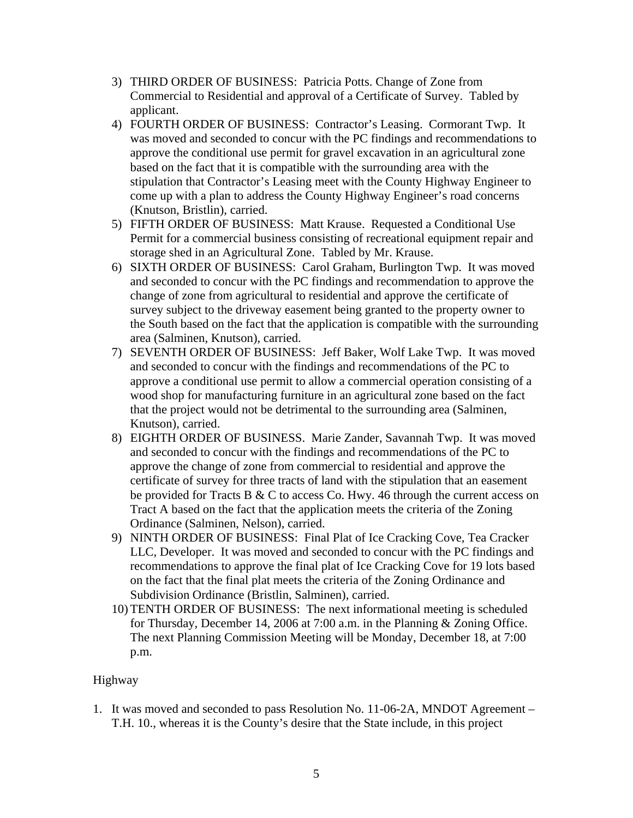- 3) THIRD ORDER OF BUSINESS: Patricia Potts. Change of Zone from Commercial to Residential and approval of a Certificate of Survey. Tabled by applicant.
- 4) FOURTH ORDER OF BUSINESS: Contractor's Leasing. Cormorant Twp. It was moved and seconded to concur with the PC findings and recommendations to approve the conditional use permit for gravel excavation in an agricultural zone based on the fact that it is compatible with the surrounding area with the stipulation that Contractor's Leasing meet with the County Highway Engineer to come up with a plan to address the County Highway Engineer's road concerns (Knutson, Bristlin), carried.
- 5) FIFTH ORDER OF BUSINESS: Matt Krause. Requested a Conditional Use Permit for a commercial business consisting of recreational equipment repair and storage shed in an Agricultural Zone. Tabled by Mr. Krause.
- 6) SIXTH ORDER OF BUSINESS: Carol Graham, Burlington Twp. It was moved and seconded to concur with the PC findings and recommendation to approve the change of zone from agricultural to residential and approve the certificate of survey subject to the driveway easement being granted to the property owner to the South based on the fact that the application is compatible with the surrounding area (Salminen, Knutson), carried.
- 7) SEVENTH ORDER OF BUSINESS: Jeff Baker, Wolf Lake Twp. It was moved and seconded to concur with the findings and recommendations of the PC to approve a conditional use permit to allow a commercial operation consisting of a wood shop for manufacturing furniture in an agricultural zone based on the fact that the project would not be detrimental to the surrounding area (Salminen, Knutson), carried.
- 8) EIGHTH ORDER OF BUSINESS. Marie Zander, Savannah Twp. It was moved and seconded to concur with the findings and recommendations of the PC to approve the change of zone from commercial to residential and approve the certificate of survey for three tracts of land with the stipulation that an easement be provided for Tracts B  $&$  C to access Co. Hwy. 46 through the current access on Tract A based on the fact that the application meets the criteria of the Zoning Ordinance (Salminen, Nelson), carried.
- 9) NINTH ORDER OF BUSINESS: Final Plat of Ice Cracking Cove, Tea Cracker LLC, Developer. It was moved and seconded to concur with the PC findings and recommendations to approve the final plat of Ice Cracking Cove for 19 lots based on the fact that the final plat meets the criteria of the Zoning Ordinance and Subdivision Ordinance (Bristlin, Salminen), carried.
- 10) TENTH ORDER OF BUSINESS: The next informational meeting is scheduled for Thursday, December 14, 2006 at 7:00 a.m. in the Planning & Zoning Office. The next Planning Commission Meeting will be Monday, December 18, at 7:00 p.m.

# Highway

1. It was moved and seconded to pass Resolution No. 11-06-2A, MNDOT Agreement – T.H. 10., whereas it is the County's desire that the State include, in this project